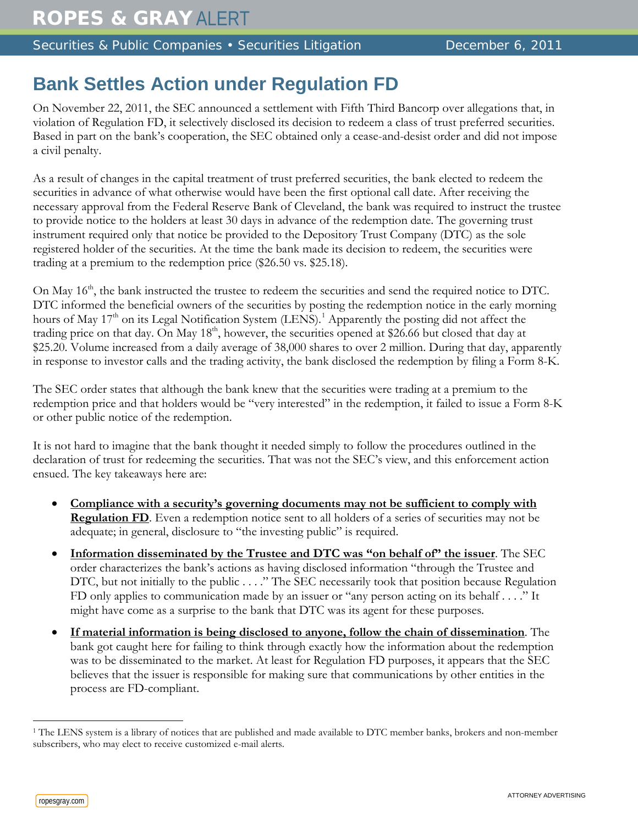Securities & Public Companies • Securities Litigation December 6, 2011

## **Bank Settles Action under Regulation FD**

On November 22, 2011, the SEC announced a settlement with Fifth Third Bancorp over allegations that, in violation of Regulation FD, it selectively disclosed its decision to redeem a class of trust preferred securities. Based in part on the bank's cooperation, the SEC obtained only a cease-and-desist order and did not impose a civil penalty.

As a result of changes in the capital treatment of trust preferred securities, the bank elected to redeem the securities in advance of what otherwise would have been the first optional call date. After receiving the necessary approval from the Federal Reserve Bank of Cleveland, the bank was required to instruct the trustee to provide notice to the holders at least 30 days in advance of the redemption date. The governing trust instrument required only that notice be provided to the Depository Trust Company (DTC) as the sole registered holder of the securities. At the time the bank made its decision to redeem, the securities were trading at a premium to the redemption price (\$26.50 vs. \$25.18).

On May 16<sup>th</sup>, the bank instructed the trustee to redeem the securities and send the required notice to DTC. DTC informed the beneficial owners of the securities by posting the redemption notice in the early morning hours of May  $17<sup>th</sup>$  $17<sup>th</sup>$  on its Legal Notification System (LENS).<sup>1</sup> Apparently the posting did not affect the trading price on that day. On May 18<sup>th</sup>, however, the securities opened at \$26.66 but closed that day at \$25.20. Volume increased from a daily average of 38,000 shares to over 2 million. During that day, apparently in response to investor calls and the trading activity, the bank disclosed the redemption by filing a Form 8-K.

The SEC order states that although the bank knew that the securities were trading at a premium to the redemption price and that holders would be "very interested" in the redemption, it failed to issue a Form 8-K or other public notice of the redemption.

It is not hard to imagine that the bank thought it needed simply to follow the procedures outlined in the declaration of trust for redeeming the securities. That was not the SEC's view, and this enforcement action ensued. The key takeaways here are:

- **Compliance with a security's governing documents may not be sufficient to comply with Regulation FD**. Even a redemption notice sent to all holders of a series of securities may not be adequate; in general, disclosure to "the investing public" is required.
- **Information disseminated by the Trustee and DTC was "on behalf of" the issuer**. The SEC order characterizes the bank's actions as having disclosed information "through the Trustee and DTC, but not initially to the public . . . ." The SEC necessarily took that position because Regulation FD only applies to communication made by an issuer or "any person acting on its behalf . . . ." It might have come as a surprise to the bank that DTC was its agent for these purposes.
- **If material information is being disclosed to anyone, follow the chain of dissemination**. The bank got caught here for failing to think through exactly how the information about the redemption was to be disseminated to the market. At least for Regulation FD purposes, it appears that the SEC believes that the issuer is responsible for making sure that communications by other entities in the process are FD-compliant.

 $\overline{a}$ 

<span id="page-0-0"></span><sup>&</sup>lt;sup>1</sup> The LENS system is a library of notices that are published and made available to DTC member banks, brokers and non-member subscribers, who may elect to receive customized e-mail alerts.